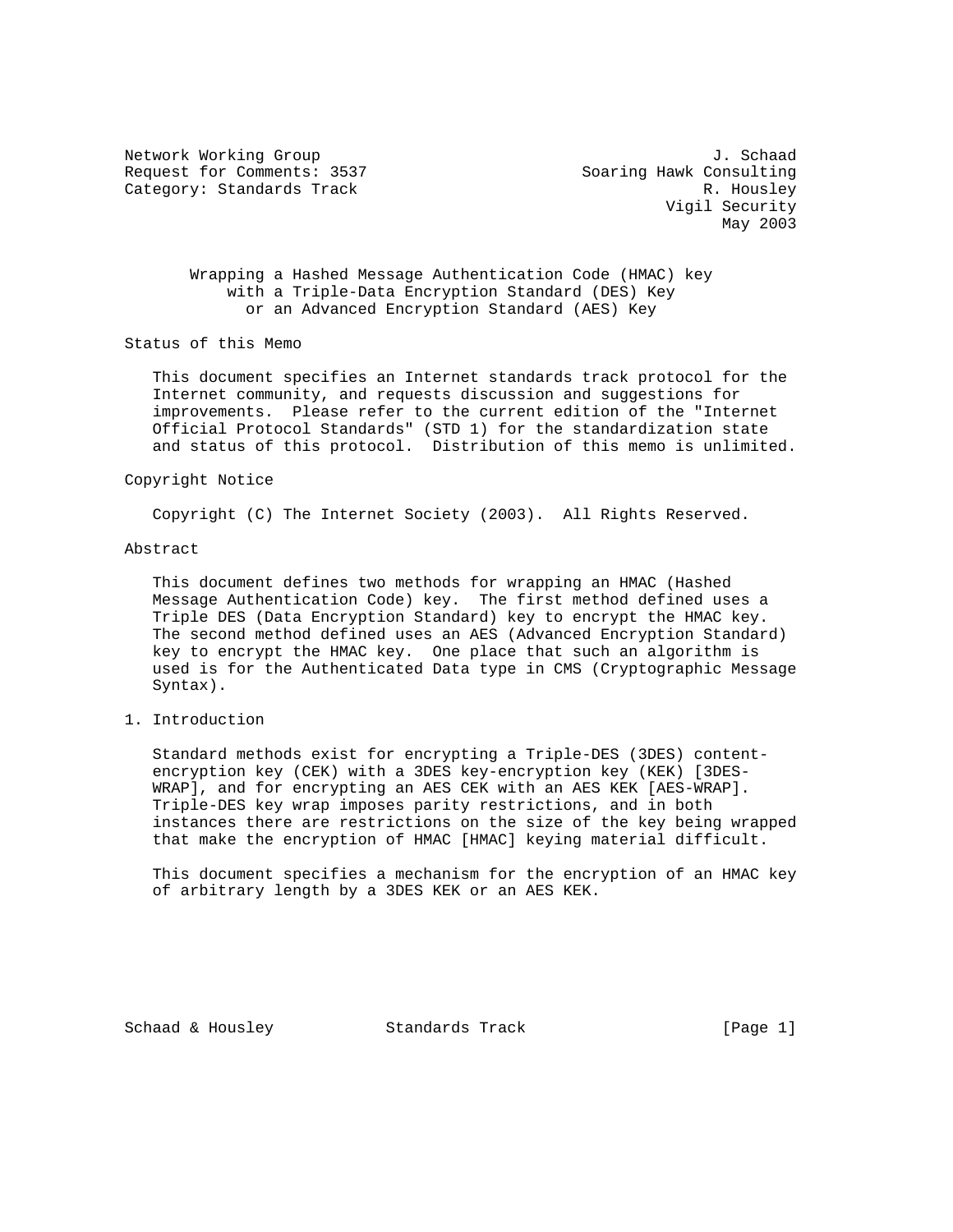Network Working Group J. Schaad Request for Comments: 3537 Soaring Hawk Consulting Category: Standards Track R. Housley

 Vigil Security May 2003

 Wrapping a Hashed Message Authentication Code (HMAC) key with a Triple-Data Encryption Standard (DES) Key or an Advanced Encryption Standard (AES) Key

Status of this Memo

 This document specifies an Internet standards track protocol for the Internet community, and requests discussion and suggestions for improvements. Please refer to the current edition of the "Internet Official Protocol Standards" (STD 1) for the standardization state and status of this protocol. Distribution of this memo is unlimited.

#### Copyright Notice

Copyright (C) The Internet Society (2003). All Rights Reserved.

### Abstract

 This document defines two methods for wrapping an HMAC (Hashed Message Authentication Code) key. The first method defined uses a Triple DES (Data Encryption Standard) key to encrypt the HMAC key. The second method defined uses an AES (Advanced Encryption Standard) key to encrypt the HMAC key. One place that such an algorithm is used is for the Authenticated Data type in CMS (Cryptographic Message Syntax).

# 1. Introduction

 Standard methods exist for encrypting a Triple-DES (3DES) content encryption key (CEK) with a 3DES key-encryption key (KEK) [3DES- WRAP], and for encrypting an AES CEK with an AES KEK [AES-WRAP]. Triple-DES key wrap imposes parity restrictions, and in both instances there are restrictions on the size of the key being wrapped that make the encryption of HMAC [HMAC] keying material difficult.

 This document specifies a mechanism for the encryption of an HMAC key of arbitrary length by a 3DES KEK or an AES KEK.

Schaad & Housley Standards Track [Page 1]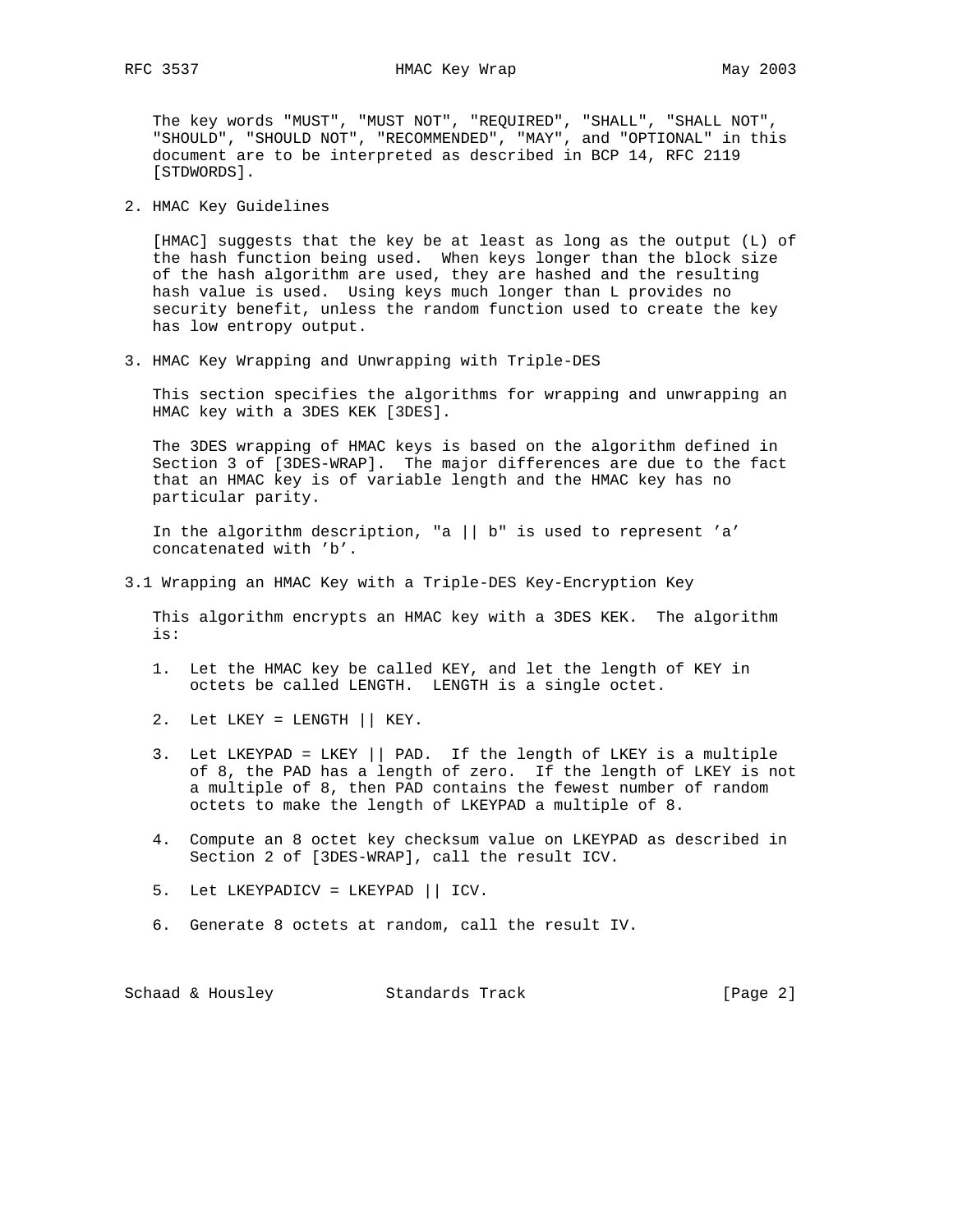The key words "MUST", "MUST NOT", "REQUIRED", "SHALL", "SHALL NOT", "SHOULD", "SHOULD NOT", "RECOMMENDED", "MAY", and "OPTIONAL" in this document are to be interpreted as described in BCP 14, RFC 2119 [STDWORDS].

2. HMAC Key Guidelines

 [HMAC] suggests that the key be at least as long as the output (L) of the hash function being used. When keys longer than the block size of the hash algorithm are used, they are hashed and the resulting hash value is used. Using keys much longer than L provides no security benefit, unless the random function used to create the key has low entropy output.

3. HMAC Key Wrapping and Unwrapping with Triple-DES

 This section specifies the algorithms for wrapping and unwrapping an HMAC key with a 3DES KEK [3DES].

 The 3DES wrapping of HMAC keys is based on the algorithm defined in Section 3 of [3DES-WRAP]. The major differences are due to the fact that an HMAC key is of variable length and the HMAC key has no particular parity.

 In the algorithm description, "a || b" is used to represent 'a' concatenated with 'b'.

3.1 Wrapping an HMAC Key with a Triple-DES Key-Encryption Key

 This algorithm encrypts an HMAC key with a 3DES KEK. The algorithm is:

- 1. Let the HMAC key be called KEY, and let the length of KEY in octets be called LENGTH. LENGTH is a single octet.
- 2. Let LKEY = LENGTH || KEY.
- 3. Let LKEYPAD = LKEY || PAD. If the length of LKEY is a multiple of 8, the PAD has a length of zero. If the length of LKEY is not a multiple of 8, then PAD contains the fewest number of random octets to make the length of LKEYPAD a multiple of 8.
- 4. Compute an 8 octet key checksum value on LKEYPAD as described in Section 2 of [3DES-WRAP], call the result ICV.
- 5. Let LKEYPADICV = LKEYPAD || ICV.
- 6. Generate 8 octets at random, call the result IV.

Schaad & Housley Standards Track [Page 2]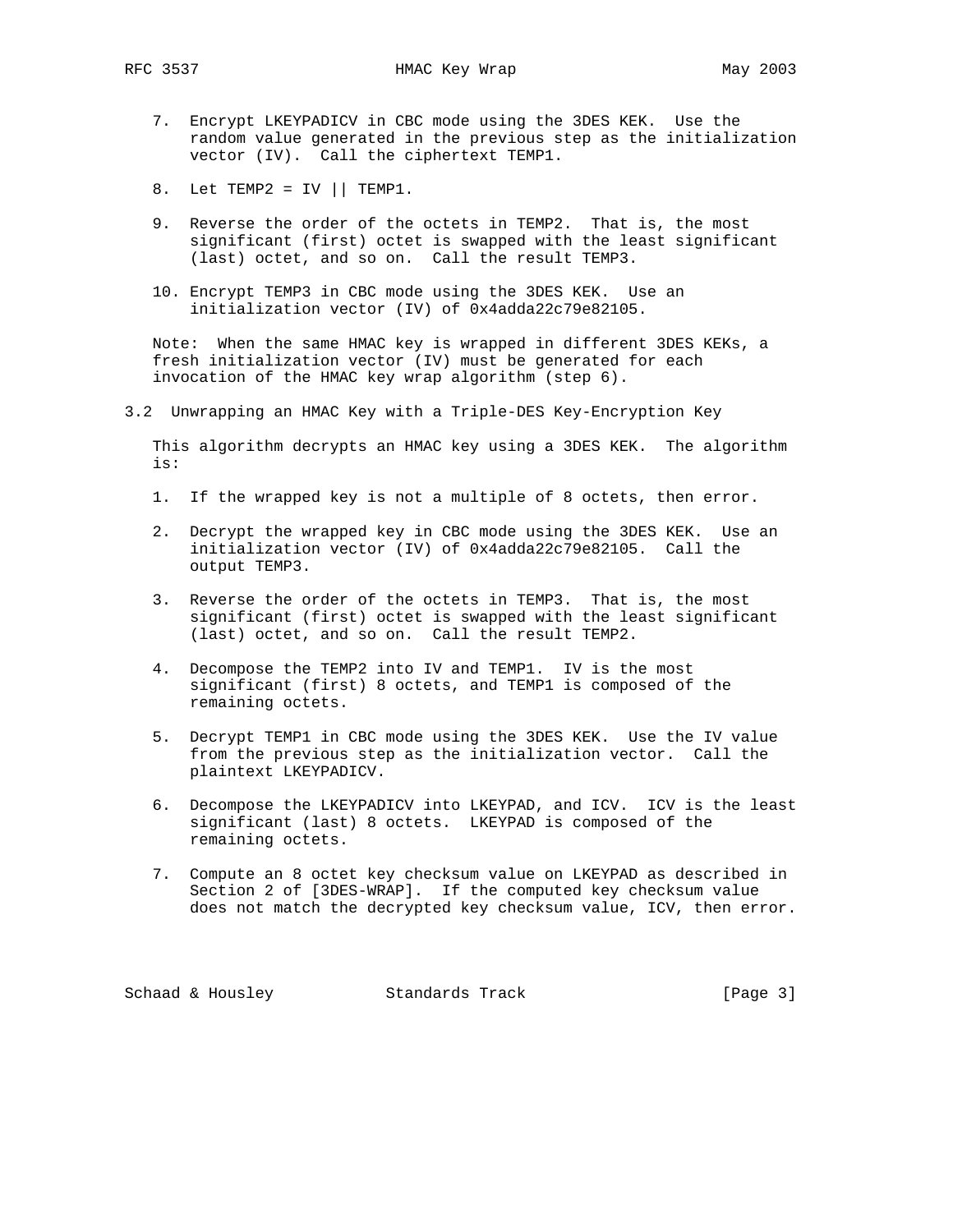- 7. Encrypt LKEYPADICV in CBC mode using the 3DES KEK. Use the random value generated in the previous step as the initialization vector (IV). Call the ciphertext TEMP1.
- 8. Let TEMP2 = IV  $||$  TEMP1.
- 9. Reverse the order of the octets in TEMP2. That is, the most significant (first) octet is swapped with the least significant (last) octet, and so on. Call the result TEMP3.
- 10. Encrypt TEMP3 in CBC mode using the 3DES KEK. Use an initialization vector (IV) of 0x4adda22c79e82105.

 Note: When the same HMAC key is wrapped in different 3DES KEKs, a fresh initialization vector (IV) must be generated for each invocation of the HMAC key wrap algorithm (step 6).

3.2 Unwrapping an HMAC Key with a Triple-DES Key-Encryption Key

 This algorithm decrypts an HMAC key using a 3DES KEK. The algorithm is:

- 1. If the wrapped key is not a multiple of 8 octets, then error.
- 2. Decrypt the wrapped key in CBC mode using the 3DES KEK. Use an initialization vector (IV) of 0x4adda22c79e82105. Call the output TEMP3.
- 3. Reverse the order of the octets in TEMP3. That is, the most significant (first) octet is swapped with the least significant (last) octet, and so on. Call the result TEMP2.
- 4. Decompose the TEMP2 into IV and TEMP1. IV is the most significant (first) 8 octets, and TEMP1 is composed of the remaining octets.
- 5. Decrypt TEMP1 in CBC mode using the 3DES KEK. Use the IV value from the previous step as the initialization vector. Call the plaintext LKEYPADICV.
- 6. Decompose the LKEYPADICV into LKEYPAD, and ICV. ICV is the least significant (last) 8 octets. LKEYPAD is composed of the remaining octets.
- 7. Compute an 8 octet key checksum value on LKEYPAD as described in Section 2 of [3DES-WRAP]. If the computed key checksum value does not match the decrypted key checksum value, ICV, then error.

Schaad & Housley Standards Track [Page 3]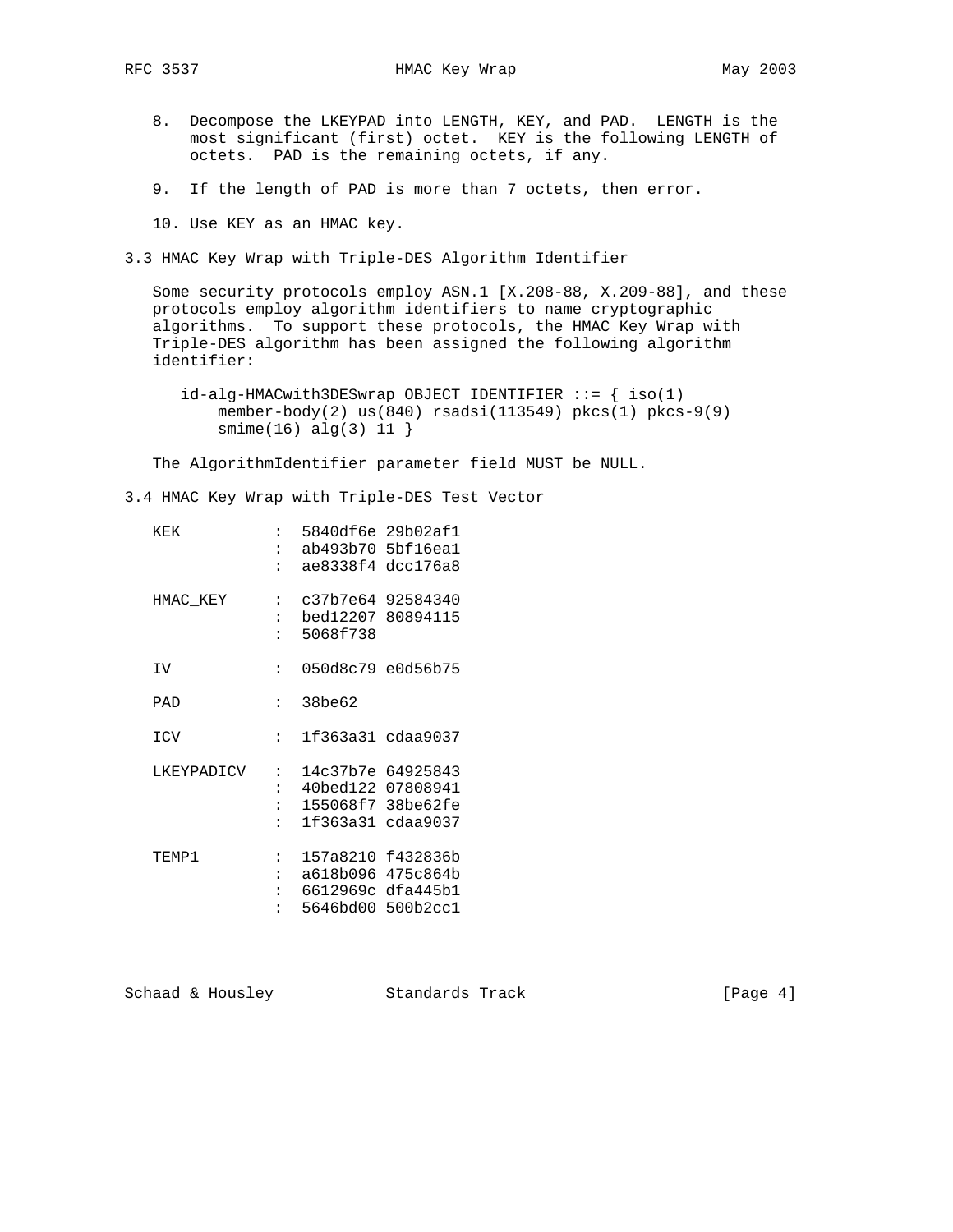- 8. Decompose the LKEYPAD into LENGTH, KEY, and PAD. LENGTH is the most significant (first) octet. KEY is the following LENGTH of octets. PAD is the remaining octets, if any.
- 9. If the length of PAD is more than 7 octets, then error.
- 10. Use KEY as an HMAC key.

3.3 HMAC Key Wrap with Triple-DES Algorithm Identifier

 Some security protocols employ ASN.1 [X.208-88, X.209-88], and these protocols employ algorithm identifiers to name cryptographic algorithms. To support these protocols, the HMAC Key Wrap with Triple-DES algorithm has been assigned the following algorithm identifier:

 id-alg-HMACwith3DESwrap OBJECT IDENTIFIER ::= { iso(1) member-body(2) us(840) rsadsi(113549) pkcs $(1)$  pkcs-9(9) smime(16) alg(3) 11 }

The AlgorithmIdentifier parameter field MUST be NULL.

3.4 HMAC Key Wrap with Triple-DES Test Vector

| KEK        | $\mathbf{r}$         | ae8338f4                                     | 5840df6e 29b02af1<br>ab493b70 5bf16ea1<br>dcc176a8                      |
|------------|----------------------|----------------------------------------------|-------------------------------------------------------------------------|
| HMAC KEY   | $\mathbf{L}$         | bed12207<br>5068f738                         | c37b7e64 92584340<br>80894115                                           |
| ΙV         | :                    |                                              | 050d8c79 e0d56b75                                                       |
| PAD        | $\ddot{\phantom{a}}$ | 38be62                                       |                                                                         |
| ICV        | $\ddot{\phantom{a}}$ |                                              | 1f363a31 cdaa9037                                                       |
| LKEYPADICV | :<br>$\ddot{\cdot}$  | 1f363a31                                     | 14c37b7e 64925843<br>40bed122 07808941<br>155068f7 38be62fe<br>cdaa9037 |
| TEMP1      | $\ddot{\cdot}$       | 157a8210<br>a618b096<br>6612969c<br>5646bd00 | f432836b<br>475c864b<br>dfa445b1<br>500b2cc1                            |

Schaad & Housley Standards Track [Page 4]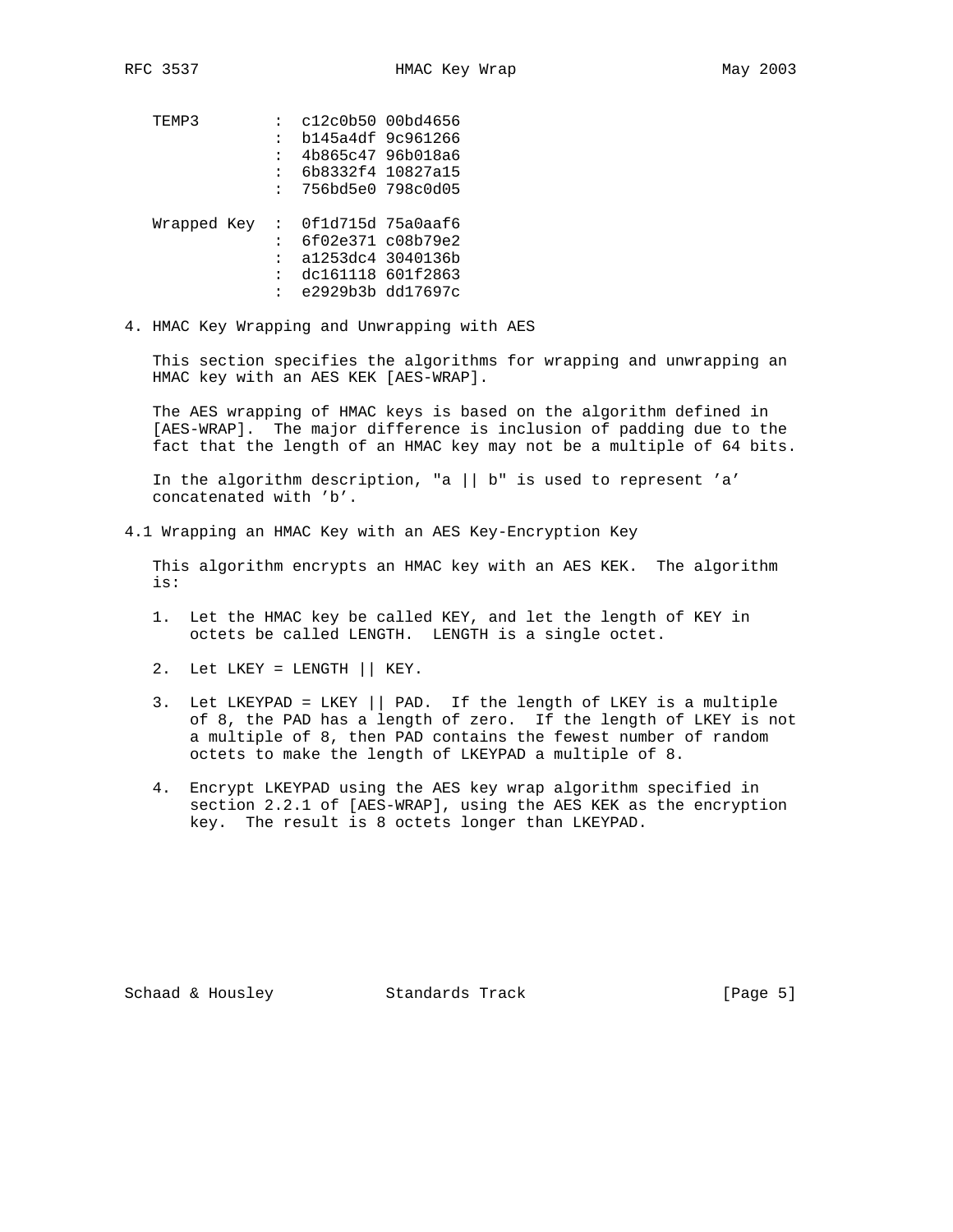TEMP3 : c12c0b50 00bd4656 : b145a4df 9c961266 : 4b865c47 96b018a6 : 6b8332f4 10827a15 : 756bd5e0 798c0d05 Wrapped Key : 0f1d715d 75a0aaf6 : 6f02e371 c08b79e2 : a1253dc4 3040136b : dc161118 601f2863 : e2929b3b dd17697c

4. HMAC Key Wrapping and Unwrapping with AES

 This section specifies the algorithms for wrapping and unwrapping an HMAC key with an AES KEK [AES-WRAP].

 The AES wrapping of HMAC keys is based on the algorithm defined in [AES-WRAP]. The major difference is inclusion of padding due to the fact that the length of an HMAC key may not be a multiple of 64 bits.

 In the algorithm description, "a || b" is used to represent 'a' concatenated with 'b'.

4.1 Wrapping an HMAC Key with an AES Key-Encryption Key

 This algorithm encrypts an HMAC key with an AES KEK. The algorithm is:

- 1. Let the HMAC key be called KEY, and let the length of KEY in octets be called LENGTH. LENGTH is a single octet.
- 2. Let LKEY = LENGTH || KEY.
- 3. Let LKEYPAD = LKEY || PAD. If the length of LKEY is a multiple of 8, the PAD has a length of zero. If the length of LKEY is not a multiple of 8, then PAD contains the fewest number of random octets to make the length of LKEYPAD a multiple of 8.
- 4. Encrypt LKEYPAD using the AES key wrap algorithm specified in section 2.2.1 of [AES-WRAP], using the AES KEK as the encryption key. The result is 8 octets longer than LKEYPAD.

Schaad & Housley Standards Track [Page 5]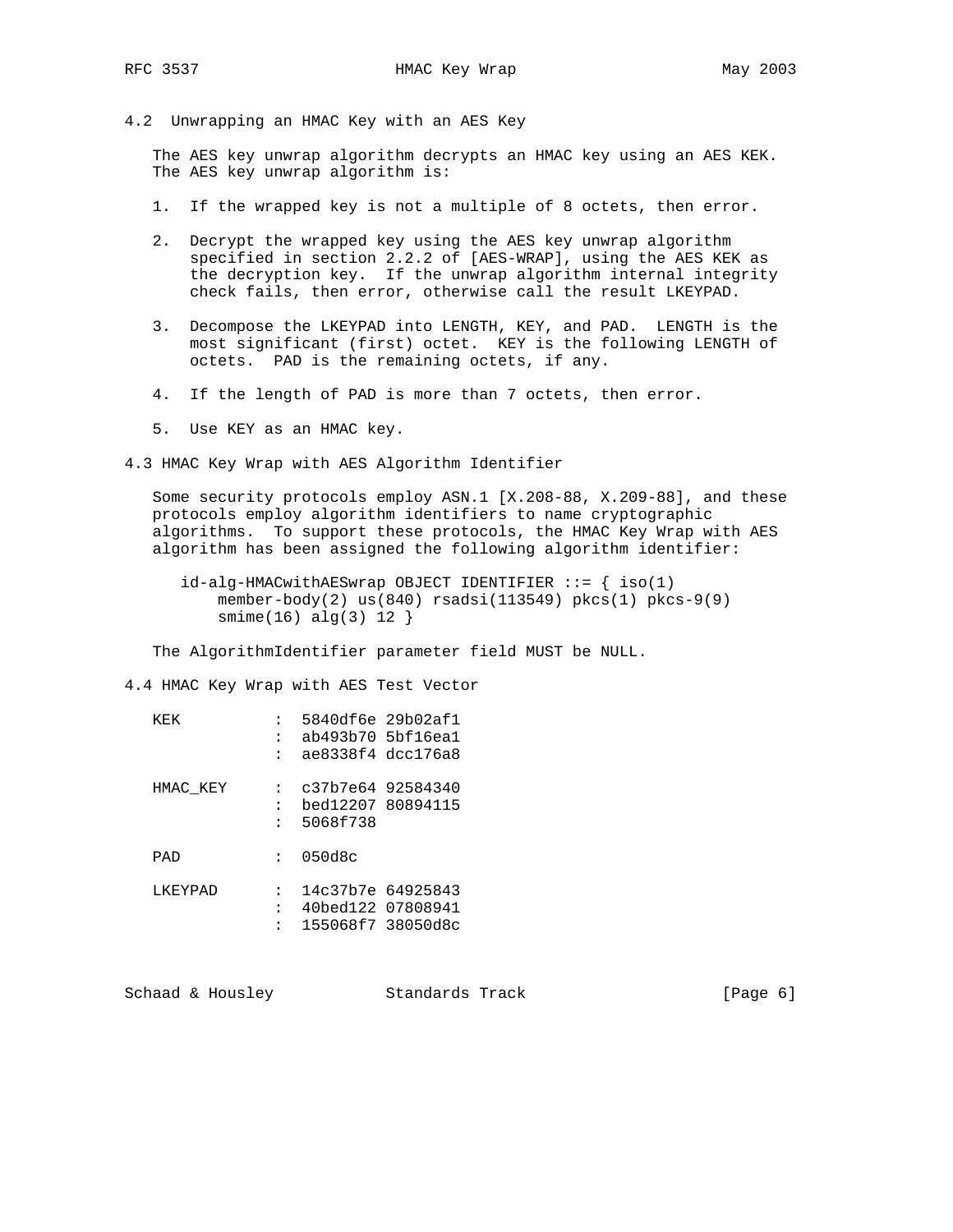4.2 Unwrapping an HMAC Key with an AES Key

 The AES key unwrap algorithm decrypts an HMAC key using an AES KEK. The AES key unwrap algorithm is:

- 1. If the wrapped key is not a multiple of 8 octets, then error.
- 2. Decrypt the wrapped key using the AES key unwrap algorithm specified in section 2.2.2 of [AES-WRAP], using the AES KEK as the decryption key. If the unwrap algorithm internal integrity check fails, then error, otherwise call the result LKEYPAD.
- 3. Decompose the LKEYPAD into LENGTH, KEY, and PAD. LENGTH is the most significant (first) octet. KEY is the following LENGTH of octets. PAD is the remaining octets, if any.
- 4. If the length of PAD is more than 7 octets, then error.
- 5. Use KEY as an HMAC key.

4.3 HMAC Key Wrap with AES Algorithm Identifier

 Some security protocols employ ASN.1 [X.208-88, X.209-88], and these protocols employ algorithm identifiers to name cryptographic algorithms. To support these protocols, the HMAC Key Wrap with AES algorithm has been assigned the following algorithm identifier:

 id-alg-HMACwithAESwrap OBJECT IDENTIFIER ::= { iso(1) member-body(2) us(840) rsadsi(113549) pkcs(1) pkcs-9(9)  $smin(e(16) \text{ alg}(3) 12$ 

The AlgorithmIdentifier parameter field MUST be NULL.

4.4 HMAC Key Wrap with AES Test Vector

| KFK      | :                    | 5840df6e 29b02af1<br>ab493b70 5bf16ea1<br>ae8338f4 dcc176a8 |  |
|----------|----------------------|-------------------------------------------------------------|--|
| HMAC KEY | $\ddot{\phantom{a}}$ | c37b7e64 92584340<br>bed12207 80894115<br>5068f738          |  |
| PAD      |                      | 050d8c                                                      |  |
| I KEYPAD |                      | 14c37b7e 64925843<br>40bed122 07808941<br>155068f7 38050d8c |  |

Schaad & Housley Standards Track [Page 6]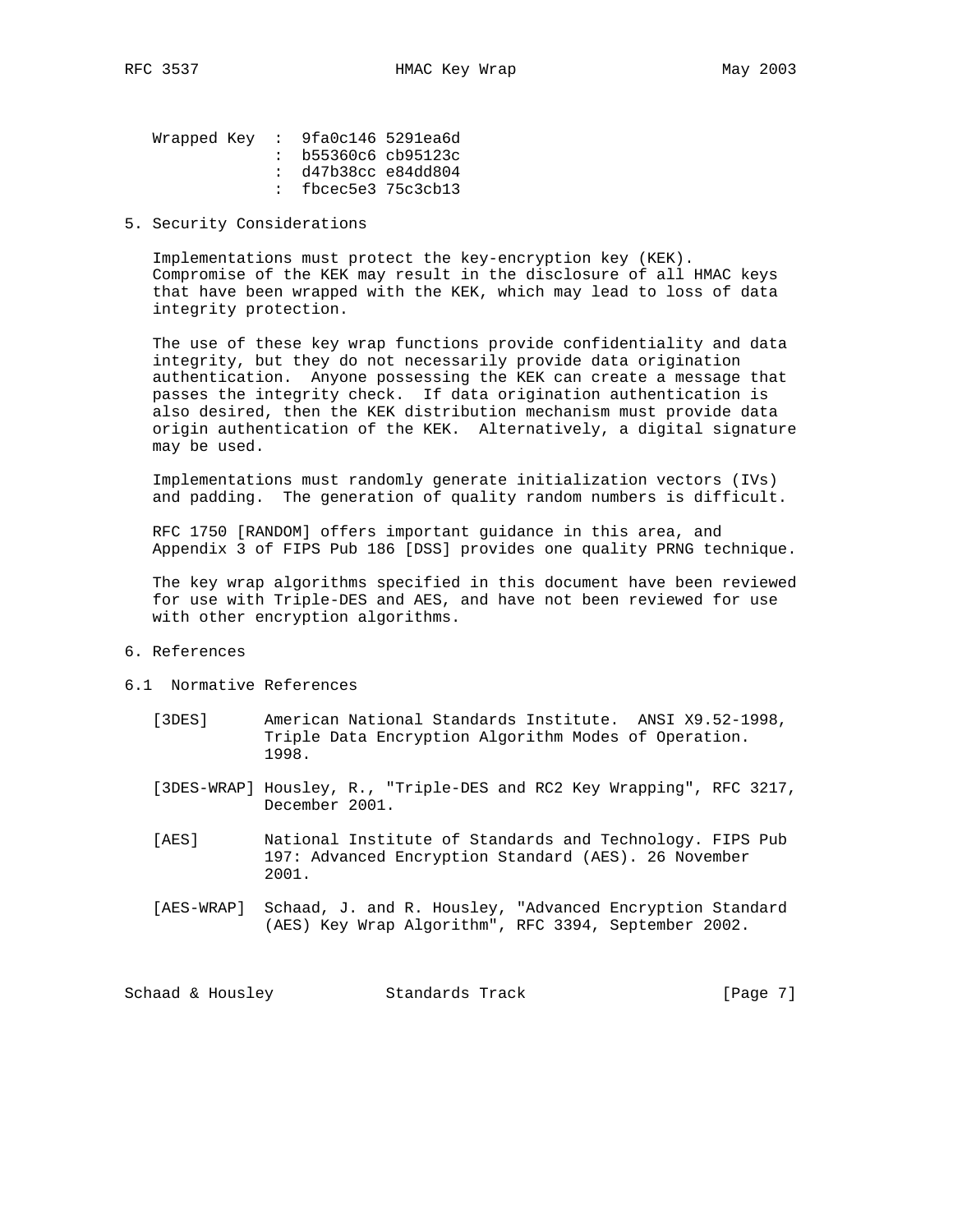| Wrapped Key : $9fa0c1465291ea6d$ |                       |  |
|----------------------------------|-----------------------|--|
|                                  | $:$ b55360c6 cb95123c |  |
|                                  | : d47b38cc e84d804    |  |
|                                  | : fbcec5e3 $75c3cb13$ |  |

### 5. Security Considerations

 Implementations must protect the key-encryption key (KEK). Compromise of the KEK may result in the disclosure of all HMAC keys that have been wrapped with the KEK, which may lead to loss of data integrity protection.

 The use of these key wrap functions provide confidentiality and data integrity, but they do not necessarily provide data origination authentication. Anyone possessing the KEK can create a message that passes the integrity check. If data origination authentication is also desired, then the KEK distribution mechanism must provide data origin authentication of the KEK. Alternatively, a digital signature may be used.

 Implementations must randomly generate initialization vectors (IVs) and padding. The generation of quality random numbers is difficult.

 RFC 1750 [RANDOM] offers important guidance in this area, and Appendix 3 of FIPS Pub 186 [DSS] provides one quality PRNG technique.

 The key wrap algorithms specified in this document have been reviewed for use with Triple-DES and AES, and have not been reviewed for use with other encryption algorithms.

- 6. References
- 6.1 Normative References
	- [3DES] American National Standards Institute. ANSI X9.52-1998, Triple Data Encryption Algorithm Modes of Operation. 1998.
	- [3DES-WRAP] Housley, R., "Triple-DES and RC2 Key Wrapping", RFC 3217, December 2001.
	- [AES] National Institute of Standards and Technology. FIPS Pub 197: Advanced Encryption Standard (AES). 26 November 2001.
	- [AES-WRAP] Schaad, J. and R. Housley, "Advanced Encryption Standard (AES) Key Wrap Algorithm", RFC 3394, September 2002.

Schaad & Housley Standards Track [Page 7]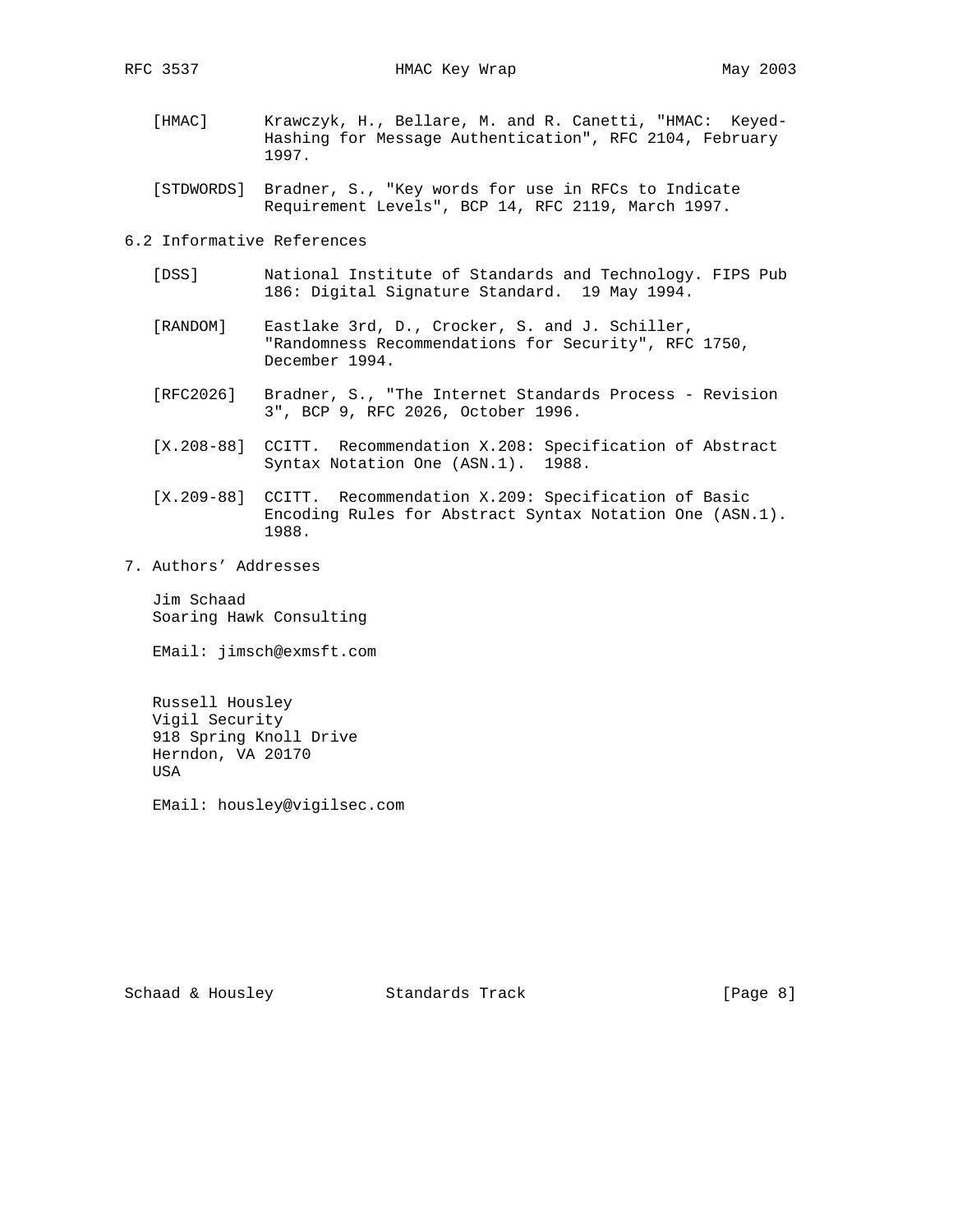- [HMAC] Krawczyk, H., Bellare, M. and R. Canetti, "HMAC: Keyed- Hashing for Message Authentication", RFC 2104, February 1997.
- [STDWORDS] Bradner, S., "Key words for use in RFCs to Indicate Requirement Levels", BCP 14, RFC 2119, March 1997.

6.2 Informative References

- [DSS] National Institute of Standards and Technology. FIPS Pub 186: Digital Signature Standard. 19 May 1994.
- [RANDOM] Eastlake 3rd, D., Crocker, S. and J. Schiller, "Randomness Recommendations for Security", RFC 1750, December 1994.
- [RFC2026] Bradner, S., "The Internet Standards Process Revision 3", BCP 9, RFC 2026, October 1996.
- [X.208-88] CCITT. Recommendation X.208: Specification of Abstract Syntax Notation One (ASN.1). 1988.
- [X.209-88] CCITT. Recommendation X.209: Specification of Basic Encoding Rules for Abstract Syntax Notation One (ASN.1). 1988.
- 7. Authors' Addresses

 Jim Schaad Soaring Hawk Consulting

EMail: jimsch@exmsft.com

 Russell Housley Vigil Security 918 Spring Knoll Drive Herndon, VA 20170 USA

EMail: housley@vigilsec.com

Schaad & Housley Standards Track [Page 8]